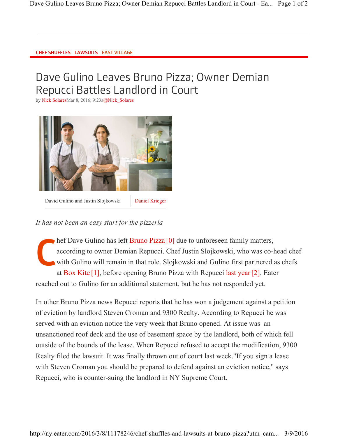## CHEF SHUFFLES LAWSUITS EAST VILLAGE

## Dave Gulino Leaves Bruno Pizza; Owner Demian Repucci Battles Landlord in Court

by Nick SolaresMar 8, 2016, 9:23a@Nick\_Solares



David Gulino and Justin Slojkowski Daniel Krieger

## *It has not been an easy start for the pizzeria*

C hef Dave Gulino has left Bruno Pizza [0] due to unforeseen family matters, according to owner Demian Repucci. Chef Justin Slojkowski, who was co-head chef with Gulino will remain in that role. Slojkowski and Gulino first partnered as chefs at Box Kite [1] , before opening Bruno Pizza with Repucci last year [2] . Eater reached out to Gulino for an additional statement, but he has not responded yet.

In other Bruno Pizza news Repucci reports that he has won a judgement against a petition of eviction by landlord Steven Croman and 9300 Realty. According to Repucci he was served with an eviction notice the very week that Bruno opened. At issue was an unsanctioned roof deck and the use of basement space by the landlord, both of which fell outside of the bounds of the lease. When Repucci refused to accept the modification, 9300 Realty filed the lawsuit. It was finally thrown out of court last week."If you sign a lease with Steven Croman you should be prepared to defend against an eviction notice," says Repucci, who is counter-suing the landlord in NY Supreme Court.